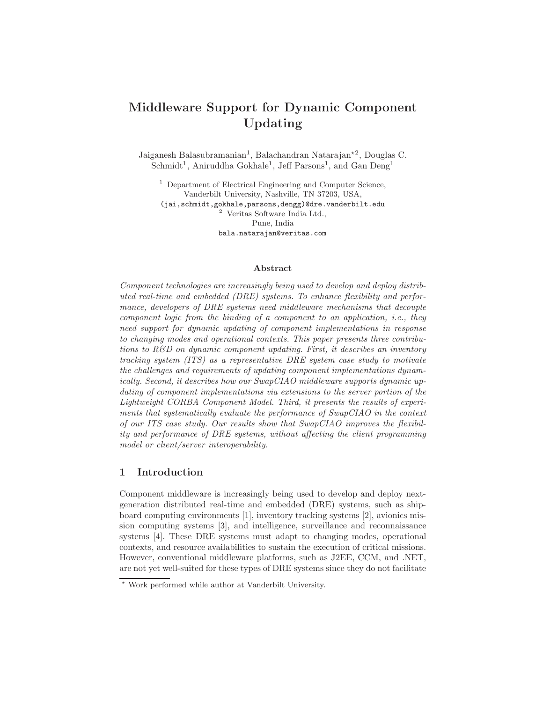# Middleware Support for Dynamic Component Updating

Jaiganesh Balasubramanian<sup>1</sup>, Balachandran Natarajan<sup>\*2</sup>, Douglas C.  $Schmidt<sup>1</sup>$ , Aniruddha Gokhale<sup>1</sup>, Jeff Parsons<sup>1</sup>, and Gan Deng<sup>1</sup>

 $^{\rm 1}$  Department of Electrical Engineering and Computer Science, Vanderbilt University, Nashville, TN 37203, USA, (jai,schmidt,gokhale,parsons,dengg)@dre.vanderbilt.edu <sup>2</sup> Veritas Software India Ltd., Pune, India bala.natarajan@veritas.com

#### Abstract

Component technologies are increasingly being used to develop and deploy distributed real-time and embedded (DRE) systems. To enhance flexibility and performance, developers of DRE systems need middleware mechanisms that decouple component logic from the binding of a component to an application, i.e., they need support for dynamic updating of component implementations in response to changing modes and operational contexts. This paper presents three contributions to R&D on dynamic component updating. First, it describes an inventory tracking system (ITS) as a representative DRE system case study to motivate the challenges and requirements of updating component implementations dynamically. Second, it describes how our SwapCIAO middleware supports dynamic updating of component implementations via extensions to the server portion of the Lightweight CORBA Component Model. Third, it presents the results of experiments that systematically evaluate the performance of SwapCIAO in the context of our ITS case study. Our results show that SwapCIAO improves the flexibility and performance of DRE systems, without affecting the client programming model or client/server interoperability.

# 1 Introduction

Component middleware is increasingly being used to develop and deploy nextgeneration distributed real-time and embedded (DRE) systems, such as shipboard computing environments [1], inventory tracking systems [2], avionics mission computing systems [3], and intelligence, surveillance and reconnaissance systems [4]. These DRE systems must adapt to changing modes, operational contexts, and resource availabilities to sustain the execution of critical missions. However, conventional middleware platforms, such as J2EE, CCM, and .NET, are not yet well-suited for these types of DRE systems since they do not facilitate

<sup>⋆</sup> Work performed while author at Vanderbilt University.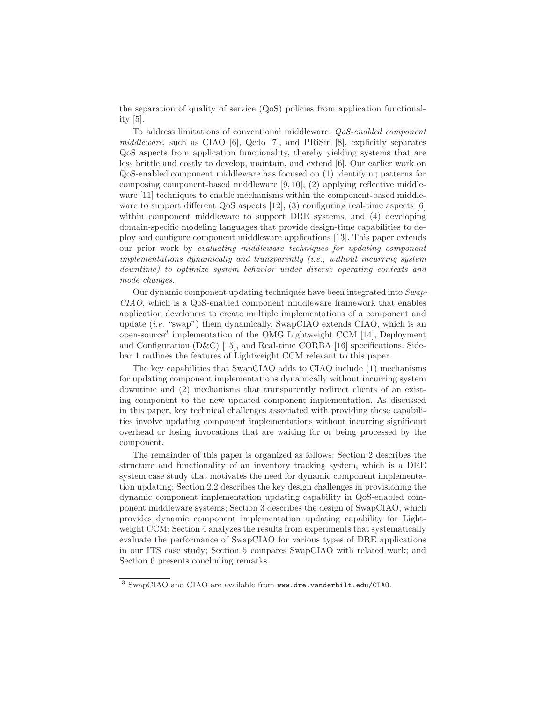the separation of quality of service (QoS) policies from application functionality  $[5]$ .

To address limitations of conventional middleware, QoS-enabled component middleware, such as CIAO [6], Qedo [7], and PRiSm [8], explicitly separates QoS aspects from application functionality, thereby yielding systems that are less brittle and costly to develop, maintain, and extend [6]. Our earlier work on QoS-enabled component middleware has focused on (1) identifying patterns for composing component-based middleware [9, 10], (2) applying reflective middleware [11] techniques to enable mechanisms within the component-based middleware to support different  $Q_0S$  aspects [12], (3) configuring real-time aspects [6] within component middleware to support DRE systems, and (4) developing domain-specific modeling languages that provide design-time capabilities to deploy and configure component middleware applications [13]. This paper extends our prior work by evaluating middleware techniques for updating component implementations dynamically and transparently (i.e., without incurring system downtime) to optimize system behavior under diverse operating contexts and mode changes.

Our dynamic component updating techniques have been integrated into Swap-CIAO, which is a QoS-enabled component middleware framework that enables application developers to create multiple implementations of a component and update  $(i.e.$  "swap") them dynamically. SwapCIAO extends CIAO, which is an open-source<sup>3</sup> implementation of the OMG Lightweight CCM [14], Deployment and Configuration  $(D&C)$  [15], and Real-time CORBA [16] specifications. Sidebar 1 outlines the features of Lightweight CCM relevant to this paper.

The key capabilities that SwapCIAO adds to CIAO include (1) mechanisms for updating component implementations dynamically without incurring system downtime and (2) mechanisms that transparently redirect clients of an existing component to the new updated component implementation. As discussed in this paper, key technical challenges associated with providing these capabilities involve updating component implementations without incurring significant overhead or losing invocations that are waiting for or being processed by the component.

The remainder of this paper is organized as follows: Section 2 describes the structure and functionality of an inventory tracking system, which is a DRE system case study that motivates the need for dynamic component implementation updating; Section 2.2 describes the key design challenges in provisioning the dynamic component implementation updating capability in QoS-enabled component middleware systems; Section 3 describes the design of SwapCIAO, which provides dynamic component implementation updating capability for Lightweight CCM; Section 4 analyzes the results from experiments that systematically evaluate the performance of SwapCIAO for various types of DRE applications in our ITS case study; Section 5 compares SwapCIAO with related work; and Section 6 presents concluding remarks.

<sup>3</sup> SwapCIAO and CIAO are available from www.dre.vanderbilt.edu/CIAO.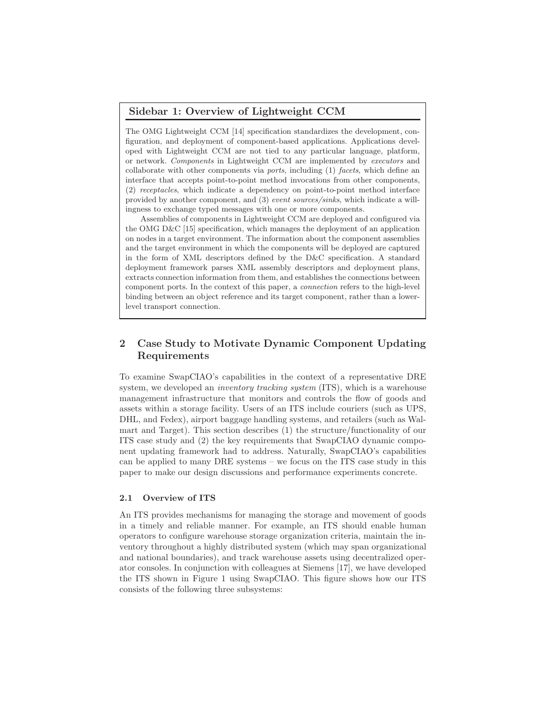# Sidebar 1: Overview of Lightweight CCM

The OMG Lightweight CCM [14] specification standardizes the development, configuration, and deployment of component-based applications. Applications developed with Lightweight CCM are not tied to any particular language, platform, or network. Components in Lightweight CCM are implemented by executors and collaborate with other components via ports, including (1) facets, which define an interface that accepts point-to-point method invocations from other components, (2) receptacles, which indicate a dependency on point-to-point method interface provided by another component, and (3) event sources/sinks, which indicate a willingness to exchange typed messages with one or more components.

Assemblies of components in Lightweight CCM are deployed and configured via the OMG D&C [15] specification, which manages the deployment of an application on nodes in a target environment. The information about the component assemblies and the target environment in which the components will be deployed are captured in the form of XML descriptors defined by the D&C specification. A standard deployment framework parses XML assembly descriptors and deployment plans, extracts connection information from them, and establishes the connections between component ports. In the context of this paper, a connection refers to the high-level binding between an object reference and its target component, rather than a lowerlevel transport connection.

# 2 Case Study to Motivate Dynamic Component Updating Requirements

To examine SwapCIAO's capabilities in the context of a representative DRE system, we developed an *inventory tracking system* (ITS), which is a warehouse management infrastructure that monitors and controls the flow of goods and assets within a storage facility. Users of an ITS include couriers (such as UPS, DHL, and Fedex), airport baggage handling systems, and retailers (such as Walmart and Target). This section describes (1) the structure/functionality of our ITS case study and (2) the key requirements that SwapCIAO dynamic component updating framework had to address. Naturally, SwapCIAO's capabilities can be applied to many DRE systems – we focus on the ITS case study in this paper to make our design discussions and performance experiments concrete.

#### 2.1 Overview of ITS

An ITS provides mechanisms for managing the storage and movement of goods in a timely and reliable manner. For example, an ITS should enable human operators to configure warehouse storage organization criteria, maintain the inventory throughout a highly distributed system (which may span organizational and national boundaries), and track warehouse assets using decentralized operator consoles. In conjunction with colleagues at Siemens [17], we have developed the ITS shown in Figure 1 using SwapCIAO. This figure shows how our ITS consists of the following three subsystems: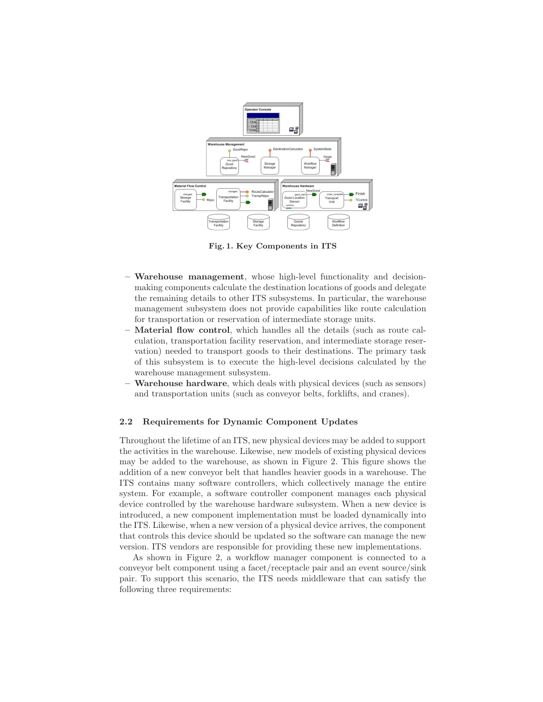

Fig. 1. Key Components in ITS

- Warehouse management, whose high-level functionality and decisionmaking components calculate the destination locations of goods and delegate the remaining details to other ITS subsystems. In particular, the warehouse management subsystem does not provide capabilities like route calculation for transportation or reservation of intermediate storage units.
- Material flow control, which handles all the details (such as route calculation, transportation facility reservation, and intermediate storage reservation) needed to transport goods to their destinations. The primary task of this subsystem is to execute the high-level decisions calculated by the warehouse management subsystem.
- Warehouse hardware, which deals with physical devices (such as sensors) and transportation units (such as conveyor belts, forklifts, and cranes).

#### 2.2 Requirements for Dynamic Component Updates

Throughout the lifetime of an ITS, new physical devices may be added to support the activities in the warehouse. Likewise, new models of existing physical devices may be added to the warehouse, as shown in Figure 2. This figure shows the addition of a new conveyor belt that handles heavier goods in a warehouse. The ITS contains many software controllers, which collectively manage the entire system. For example, a software controller component manages each physical device controlled by the warehouse hardware subsystem. When a new device is introduced, a new component implementation must be loaded dynamically into the ITS. Likewise, when a new version of a physical device arrives, the component that controls this device should be updated so the software can manage the new version. ITS vendors are responsible for providing these new implementations.

As shown in Figure 2, a workflow manager component is connected to a conveyor belt component using a facet/receptacle pair and an event source/sink pair. To support this scenario, the ITS needs middleware that can satisfy the following three requirements: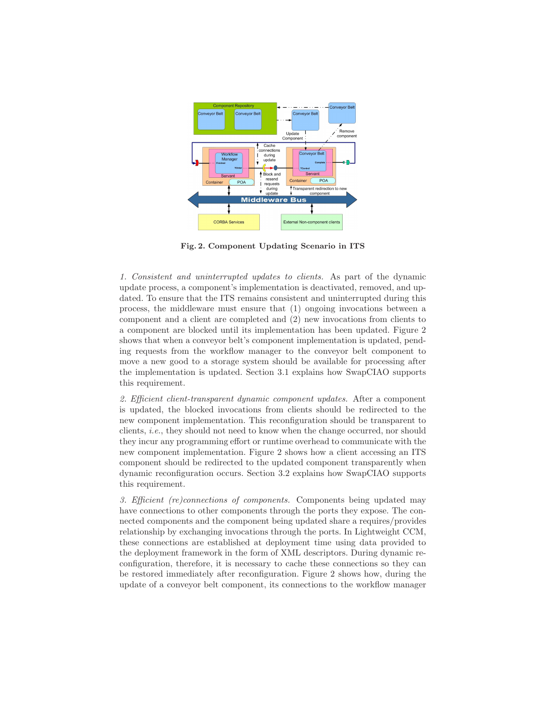

Fig. 2. Component Updating Scenario in ITS

1. Consistent and uninterrupted updates to clients. As part of the dynamic update process, a component's implementation is deactivated, removed, and updated. To ensure that the ITS remains consistent and uninterrupted during this process, the middleware must ensure that (1) ongoing invocations between a component and a client are completed and (2) new invocations from clients to a component are blocked until its implementation has been updated. Figure 2 shows that when a conveyor belt's component implementation is updated, pending requests from the workflow manager to the conveyor belt component to move a new good to a storage system should be available for processing after the implementation is updated. Section 3.1 explains how SwapCIAO supports this requirement.

2. Efficient client-transparent dynamic component updates. After a component is updated, the blocked invocations from clients should be redirected to the new component implementation. This reconfiguration should be transparent to clients, i.e., they should not need to know when the change occurred, nor should they incur any programming effort or runtime overhead to communicate with the new component implementation. Figure 2 shows how a client accessing an ITS component should be redirected to the updated component transparently when dynamic reconfiguration occurs. Section 3.2 explains how SwapCIAO supports this requirement.

3. Efficient (re)connections of components. Components being updated may have connections to other components through the ports they expose. The connected components and the component being updated share a requires/provides relationship by exchanging invocations through the ports. In Lightweight CCM, these connections are established at deployment time using data provided to the deployment framework in the form of XML descriptors. During dynamic reconfiguration, therefore, it is necessary to cache these connections so they can be restored immediately after reconfiguration. Figure 2 shows how, during the update of a conveyor belt component, its connections to the workflow manager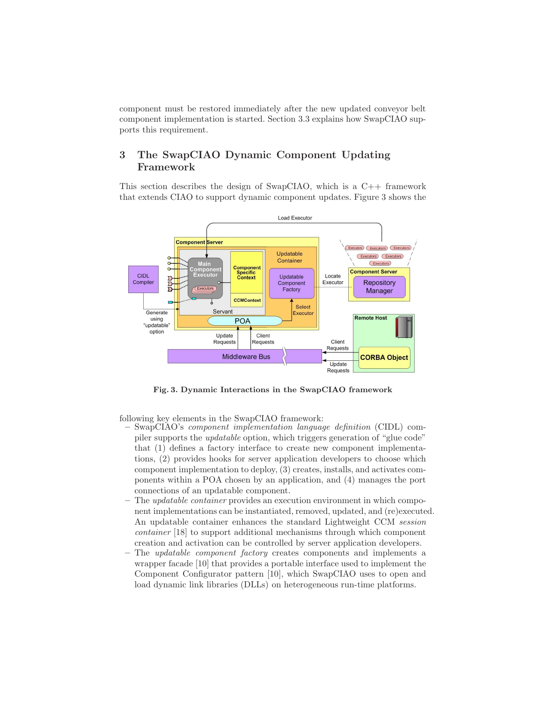component must be restored immediately after the new updated conveyor belt component implementation is started. Section 3.3 explains how SwapCIAO supports this requirement.

# 3 The SwapCIAO Dynamic Component Updating Framework

This section describes the design of SwapCIAO, which is a C++ framework that extends CIAO to support dynamic component updates. Figure 3 shows the



Fig. 3. Dynamic Interactions in the SwapCIAO framework

following key elements in the SwapCIAO framework:

- SwapCIAO's component implementation language definition (CIDL) compiler supports the updatable option, which triggers generation of "glue code" that (1) defines a factory interface to create new component implementations, (2) provides hooks for server application developers to choose which component implementation to deploy, (3) creates, installs, and activates components within a POA chosen by an application, and (4) manages the port connections of an updatable component.
- The updatable container provides an execution environment in which component implementations can be instantiated, removed, updated, and (re)executed. An updatable container enhances the standard Lightweight CCM session container [18] to support additional mechanisms through which component creation and activation can be controlled by server application developers.
- The *updatable component factory* creates components and implements a wrapper facade [10] that provides a portable interface used to implement the Component Configurator pattern [10], which SwapCIAO uses to open and load dynamic link libraries (DLLs) on heterogeneous run-time platforms.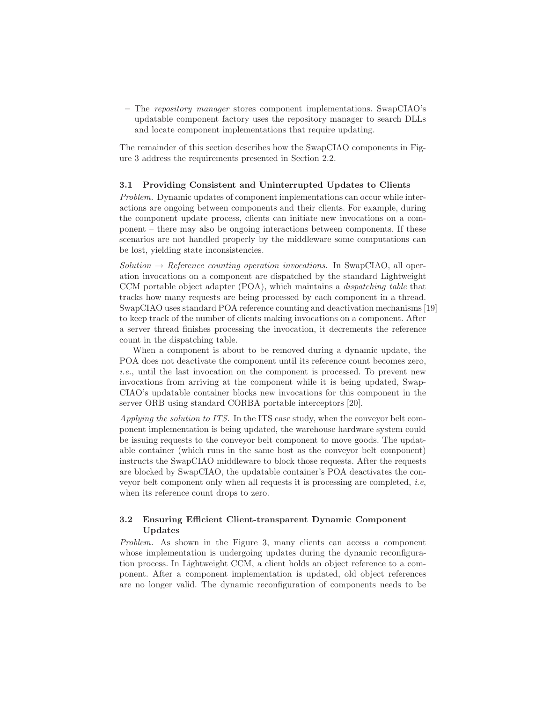– The repository manager stores component implementations. SwapCIAO's updatable component factory uses the repository manager to search DLLs and locate component implementations that require updating.

The remainder of this section describes how the SwapCIAO components in Figure 3 address the requirements presented in Section 2.2.

#### 3.1 Providing Consistent and Uninterrupted Updates to Clients

Problem. Dynamic updates of component implementations can occur while interactions are ongoing between components and their clients. For example, during the component update process, clients can initiate new invocations on a component – there may also be ongoing interactions between components. If these scenarios are not handled properly by the middleware some computations can be lost, yielding state inconsistencies.

 $Solution \rightarrow Reference$  counting operation invocations. In SwapCIAO, all operation invocations on a component are dispatched by the standard Lightweight CCM portable object adapter (POA), which maintains a dispatching table that tracks how many requests are being processed by each component in a thread. SwapCIAO uses standard POA reference counting and deactivation mechanisms [19] to keep track of the number of clients making invocations on a component. After a server thread finishes processing the invocation, it decrements the reference count in the dispatching table.

When a component is about to be removed during a dynamic update, the POA does not deactivate the component until its reference count becomes zero, i.e., until the last invocation on the component is processed. To prevent new invocations from arriving at the component while it is being updated, Swap-CIAO's updatable container blocks new invocations for this component in the server ORB using standard CORBA portable interceptors [20].

Applying the solution to ITS. In the ITS case study, when the conveyor belt component implementation is being updated, the warehouse hardware system could be issuing requests to the conveyor belt component to move goods. The updatable container (which runs in the same host as the conveyor belt component) instructs the SwapCIAO middleware to block those requests. After the requests are blocked by SwapCIAO, the updatable container's POA deactivates the conveyor belt component only when all requests it is processing are completed, i.e, when its reference count drops to zero.

# 3.2 Ensuring Efficient Client-transparent Dynamic Component Updates

Problem. As shown in the Figure 3, many clients can access a component whose implementation is undergoing updates during the dynamic reconfiguration process. In Lightweight CCM, a client holds an object reference to a component. After a component implementation is updated, old object references are no longer valid. The dynamic reconfiguration of components needs to be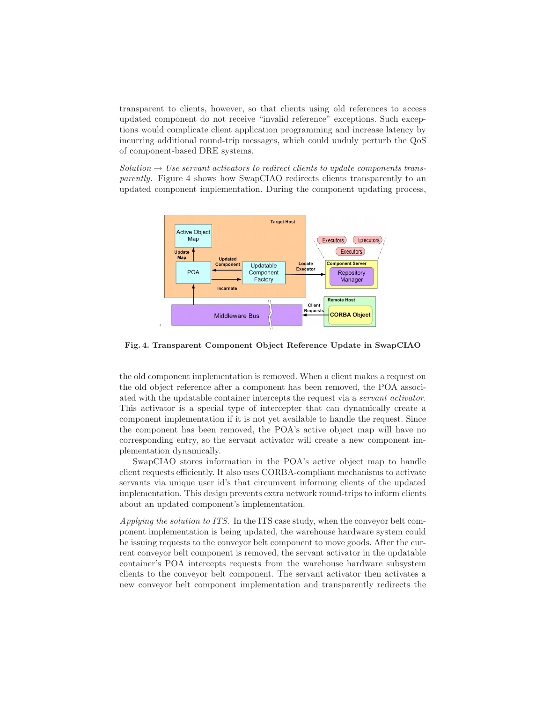transparent to clients, however, so that clients using old references to access updated component do not receive "invalid reference" exceptions. Such exceptions would complicate client application programming and increase latency by incurring additional round-trip messages, which could unduly perturb the QoS of component-based DRE systems.

 $Solution \rightarrow Use$  servant activators to redirect clients to update components transparently. Figure 4 shows how SwapCIAO redirects clients transparently to an updated component implementation. During the component updating process,



Fig. 4. Transparent Component Object Reference Update in SwapCIAO

the old component implementation is removed. When a client makes a request on the old object reference after a component has been removed, the POA associated with the updatable container intercepts the request via a servant activator. This activator is a special type of intercepter that can dynamically create a component implementation if it is not yet available to handle the request. Since the component has been removed, the POA's active object map will have no corresponding entry, so the servant activator will create a new component implementation dynamically.

SwapCIAO stores information in the POA's active object map to handle client requests efficiently. It also uses CORBA-compliant mechanisms to activate servants via unique user id's that circumvent informing clients of the updated implementation. This design prevents extra network round-trips to inform clients about an updated component's implementation.

Applying the solution to ITS. In the ITS case study, when the conveyor belt component implementation is being updated, the warehouse hardware system could be issuing requests to the conveyor belt component to move goods. After the current conveyor belt component is removed, the servant activator in the updatable container's POA intercepts requests from the warehouse hardware subsystem clients to the conveyor belt component. The servant activator then activates a new conveyor belt component implementation and transparently redirects the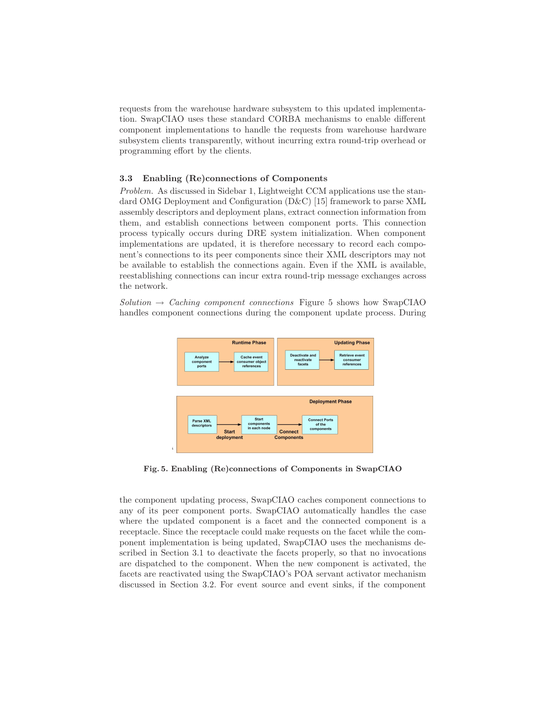requests from the warehouse hardware subsystem to this updated implementation. SwapCIAO uses these standard CORBA mechanisms to enable different component implementations to handle the requests from warehouse hardware subsystem clients transparently, without incurring extra round-trip overhead or programming effort by the clients.

## 3.3 Enabling (Re)connections of Components

Problem. As discussed in Sidebar 1, Lightweight CCM applications use the standard OMG Deployment and Configuration (D&C) [15] framework to parse XML assembly descriptors and deployment plans, extract connection information from them, and establish connections between component ports. This connection process typically occurs during DRE system initialization. When component implementations are updated, it is therefore necessary to record each component's connections to its peer components since their XML descriptors may not be available to establish the connections again. Even if the XML is available, reestablishing connections can incur extra round-trip message exchanges across the network.

 $Solution \rightarrow Caching\ component\ connections\ Figure\ 5\ shows\ how\ SwapCIAO$ handles component connections during the component update process. During



Fig. 5. Enabling (Re)connections of Components in SwapCIAO

the component updating process, SwapCIAO caches component connections to any of its peer component ports. SwapCIAO automatically handles the case where the updated component is a facet and the connected component is a receptacle. Since the receptacle could make requests on the facet while the component implementation is being updated, SwapCIAO uses the mechanisms described in Section 3.1 to deactivate the facets properly, so that no invocations are dispatched to the component. When the new component is activated, the facets are reactivated using the SwapCIAO's POA servant activator mechanism discussed in Section 3.2. For event source and event sinks, if the component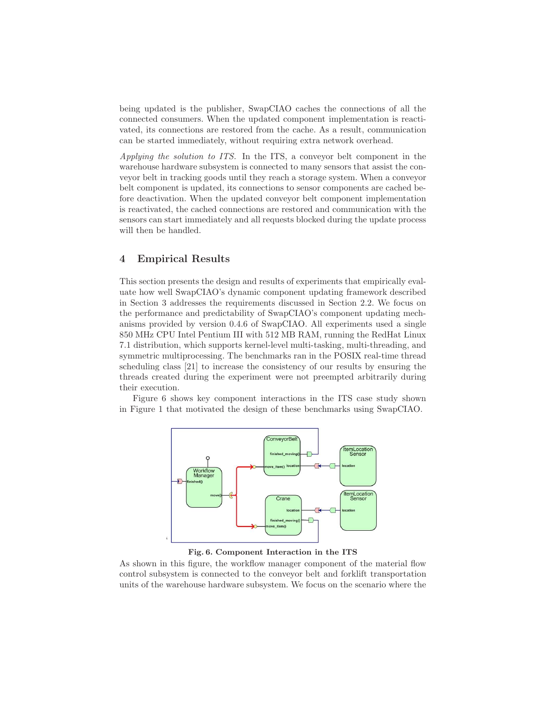being updated is the publisher, SwapCIAO caches the connections of all the connected consumers. When the updated component implementation is reactivated, its connections are restored from the cache. As a result, communication can be started immediately, without requiring extra network overhead.

Applying the solution to ITS. In the ITS, a conveyor belt component in the warehouse hardware subsystem is connected to many sensors that assist the conveyor belt in tracking goods until they reach a storage system. When a conveyor belt component is updated, its connections to sensor components are cached before deactivation. When the updated conveyor belt component implementation is reactivated, the cached connections are restored and communication with the sensors can start immediately and all requests blocked during the update process will then be handled.

# 4 Empirical Results

This section presents the design and results of experiments that empirically evaluate how well SwapCIAO's dynamic component updating framework described in Section 3 addresses the requirements discussed in Section 2.2. We focus on the performance and predictability of SwapCIAO's component updating mechanisms provided by version 0.4.6 of SwapCIAO. All experiments used a single 850 MHz CPU Intel Pentium III with 512 MB RAM, running the RedHat Linux 7.1 distribution, which supports kernel-level multi-tasking, multi-threading, and symmetric multiprocessing. The benchmarks ran in the POSIX real-time thread scheduling class [21] to increase the consistency of our results by ensuring the threads created during the experiment were not preempted arbitrarily during their execution.

Figure 6 shows key component interactions in the ITS case study shown in Figure 1 that motivated the design of these benchmarks using SwapCIAO.



Fig. 6. Component Interaction in the ITS

As shown in this figure, the workflow manager component of the material flow control subsystem is connected to the conveyor belt and forklift transportation units of the warehouse hardware subsystem. We focus on the scenario where the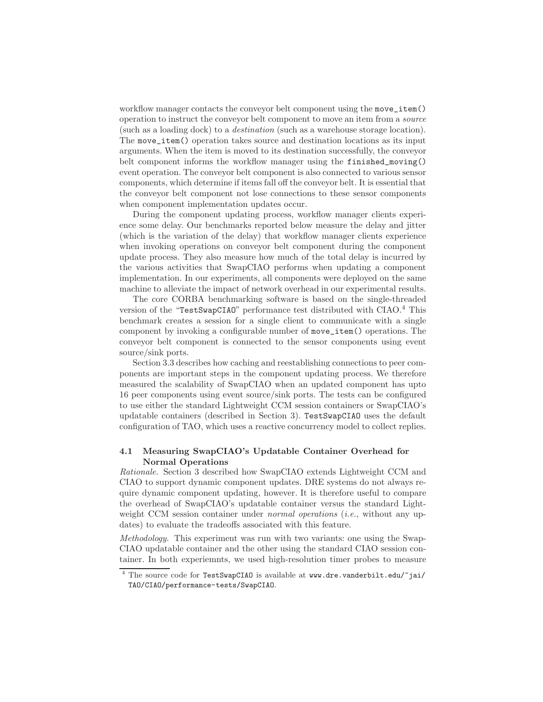workflow manager contacts the conveyor belt component using the move\_item() operation to instruct the conveyor belt component to move an item from a source (such as a loading dock) to a destination (such as a warehouse storage location). The move\_item() operation takes source and destination locations as its input arguments. When the item is moved to its destination successfully, the conveyor belt component informs the workflow manager using the finished\_moving() event operation. The conveyor belt component is also connected to various sensor components, which determine if items fall off the conveyor belt. It is essential that the conveyor belt component not lose connections to these sensor components when component implementation updates occur.

During the component updating process, workflow manager clients experience some delay. Our benchmarks reported below measure the delay and jitter (which is the variation of the delay) that workflow manager clients experience when invoking operations on conveyor belt component during the component update process. They also measure how much of the total delay is incurred by the various activities that SwapCIAO performs when updating a component implementation. In our experiments, all components were deployed on the same machine to alleviate the impact of network overhead in our experimental results.

The core CORBA benchmarking software is based on the single-threaded version of the "TestSwapCIAO" performance test distributed with CIAO.<sup>4</sup> This benchmark creates a session for a single client to communicate with a single component by invoking a configurable number of move\_item() operations. The conveyor belt component is connected to the sensor components using event source/sink ports.

Section 3.3 describes how caching and reestablishing connections to peer components are important steps in the component updating process. We therefore measured the scalability of SwapCIAO when an updated component has upto 16 peer components using event source/sink ports. The tests can be configured to use either the standard Lightweight CCM session containers or SwapCIAO's updatable containers (described in Section 3). TestSwapCIAO uses the default configuration of TAO, which uses a reactive concurrency model to collect replies.

#### 4.1 Measuring SwapCIAO's Updatable Container Overhead for Normal Operations

Rationale. Section 3 described how SwapCIAO extends Lightweight CCM and CIAO to support dynamic component updates. DRE systems do not always require dynamic component updating, however. It is therefore useful to compare the overhead of SwapCIAO's updatable container versus the standard Lightweight CCM session container under *normal operations* (*i.e.*, without any updates) to evaluate the tradeoffs associated with this feature.

Methodology. This experiment was run with two variants: one using the Swap-CIAO updatable container and the other using the standard CIAO session container. In both experiemnts, we used high-resolution timer probes to measure

<sup>&</sup>lt;sup>4</sup> The source code for TestSwapCIAO is available at www.dre.vanderbilt.edu/~jai/ TAO/CIAO/performance-tests/SwapCIAO.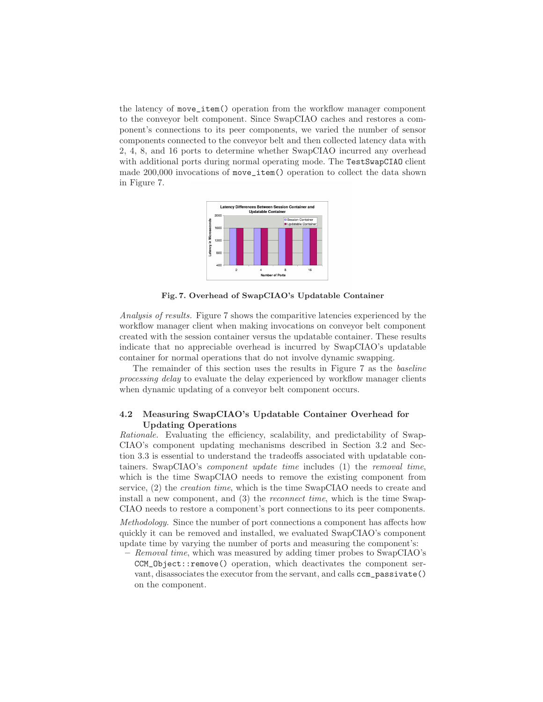the latency of move\_item() operation from the workflow manager component to the conveyor belt component. Since SwapCIAO caches and restores a component's connections to its peer components, we varied the number of sensor components connected to the conveyor belt and then collected latency data with 2, 4, 8, and 16 ports to determine whether SwapCIAO incurred any overhead with additional ports during normal operating mode. The TestSwapCIAO client made 200,000 invocations of move\_item() operation to collect the data shown in Figure 7.



Fig. 7. Overhead of SwapCIAO's Updatable Container

Analysis of results. Figure 7 shows the comparitive latencies experienced by the workflow manager client when making invocations on conveyor belt component created with the session container versus the updatable container. These results indicate that no appreciable overhead is incurred by SwapCIAO's updatable container for normal operations that do not involve dynamic swapping.

The remainder of this section uses the results in Figure 7 as the baseline processing delay to evaluate the delay experienced by workflow manager clients when dynamic updating of a conveyor belt component occurs.

#### 4.2 Measuring SwapCIAO's Updatable Container Overhead for Updating Operations

Rationale. Evaluating the efficiency, scalability, and predictability of Swap-CIAO's component updating mechanisms described in Section 3.2 and Section 3.3 is essential to understand the tradeoffs associated with updatable containers. SwapCIAO's component update time includes (1) the removal time, which is the time SwapCIAO needs to remove the existing component from service, (2) the creation time, which is the time SwapCIAO needs to create and install a new component, and (3) the reconnect time, which is the time Swap-CIAO needs to restore a component's port connections to its peer components.

Methodology. Since the number of port connections a component has affects how quickly it can be removed and installed, we evaluated SwapCIAO's component update time by varying the number of ports and measuring the component's:

– Removal time, which was measured by adding timer probes to SwapCIAO's CCM\_Object::remove() operation, which deactivates the component servant, disassociates the executor from the servant, and calls ccm\_passivate() on the component.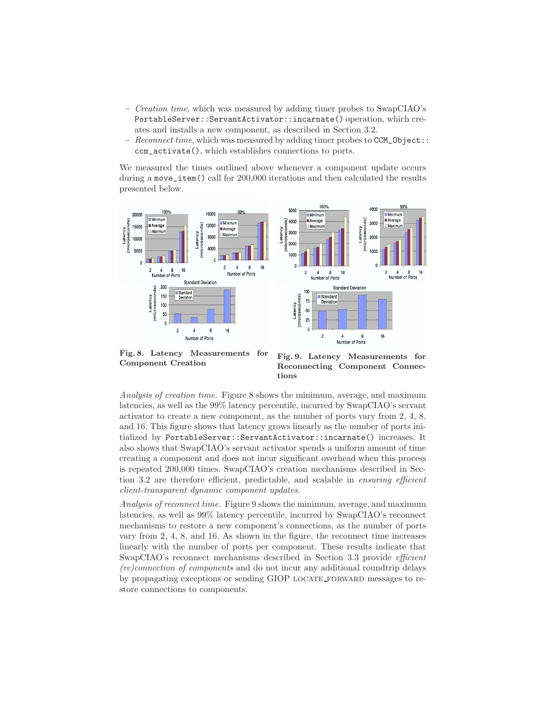- $-$  Creation time, which was measured by adding timer probes to SwapCIAO's PortableServer::ServantActivator::incarnate() operation, which creates and installs a new component, as described in Section 3.2.
- Reconnect time, which was measured by adding timer probes to CCM\_Object:: ccm\_activate(), which establishes connections to ports.

We measured the times outlined above whenever a component update occurs during a move\_item() call for 200,000 iterations and then calculated the results presented below.



Fig. 8. Latency Measurements for Component Creation

Fig. 9. Latency Measurements for Reconnecting Component Connections

Analysis of creation time. Figure 8 shows the minimum, average, and maximum latencies, as well as the 99% latency percentile, incurred by SwapCIAO's servant activator to create a new component, as the number of ports vary from 2, 4, 8, and 16. This figure shows that latency grows linearly as the number of ports initialized by PortableServer::ServantActivator::incarnate() increases. It also shows that SwapCIAO's servant activator spends a uniform amount of time creating a component and does not incur significant overhead when this process is repeated 200,000 times. SwapCIAO's creation mechanisms described in Section 3.2 are therefore efficient, predictable, and scalable in ensuring efficient client-transparent dynamic component updates.

Analysis of reconnect time. Figure 9 shows the minimum, average, and maximum latencies, as well as 99% latency percentile, incurred by SwapCIAO's reconnect mechanisms to restore a new component's connections, as the number of ports vary from 2, 4, 8, and 16. As shown in the figure, the reconnect time increases linearly with the number of ports per component. These results indicate that SwapCIAO's reconnect mechanisms described in Section 3.3 provide efficient (re)connection of components and do not incur any additional roundtrip delays by propagating exceptions or sending GIOP LOCATE\_FORWARD messages to restore connections to components.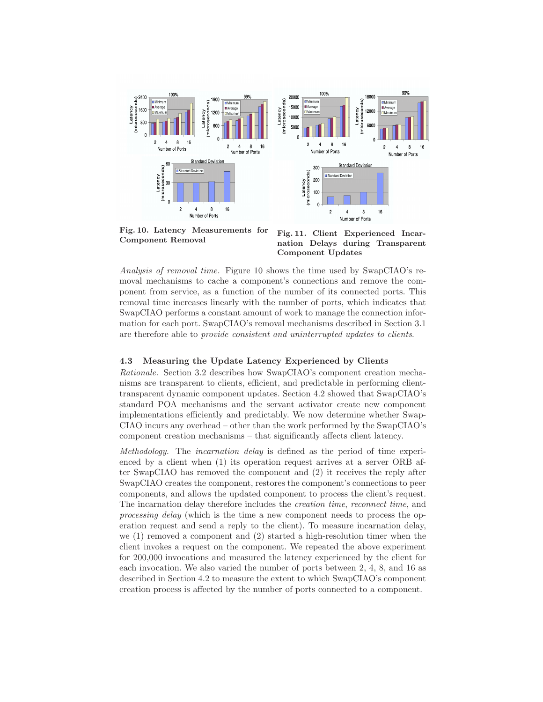

Fig. 10. Latency Measurements for Component Removal

Fig. 11. Client Experienced Incarnation Delays during Transparent Component Updates

Analysis of removal time. Figure 10 shows the time used by SwapCIAO's removal mechanisms to cache a component's connections and remove the component from service, as a function of the number of its connected ports. This removal time increases linearly with the number of ports, which indicates that SwapCIAO performs a constant amount of work to manage the connection information for each port. SwapCIAO's removal mechanisms described in Section 3.1 are therefore able to provide consistent and uninterrupted updates to clients.

#### 4.3 Measuring the Update Latency Experienced by Clients

Rationale. Section 3.2 describes how SwapCIAO's component creation mechanisms are transparent to clients, efficient, and predictable in performing clienttransparent dynamic component updates. Section 4.2 showed that SwapCIAO's standard POA mechanisms and the servant activator create new component implementations efficiently and predictably. We now determine whether Swap-CIAO incurs any overhead – other than the work performed by the SwapCIAO's component creation mechanisms – that significantly affects client latency.

Methodology. The incarnation delay is defined as the period of time experienced by a client when (1) its operation request arrives at a server ORB after SwapCIAO has removed the component and (2) it receives the reply after SwapCIAO creates the component, restores the component's connections to peer components, and allows the updated component to process the client's request. The incarnation delay therefore includes the creation time, reconnect time, and processing delay (which is the time a new component needs to process the operation request and send a reply to the client). To measure incarnation delay, we (1) removed a component and (2) started a high-resolution timer when the client invokes a request on the component. We repeated the above experiment for 200,000 invocations and measured the latency experienced by the client for each invocation. We also varied the number of ports between 2, 4, 8, and 16 as described in Section 4.2 to measure the extent to which SwapCIAO's component creation process is affected by the number of ports connected to a component.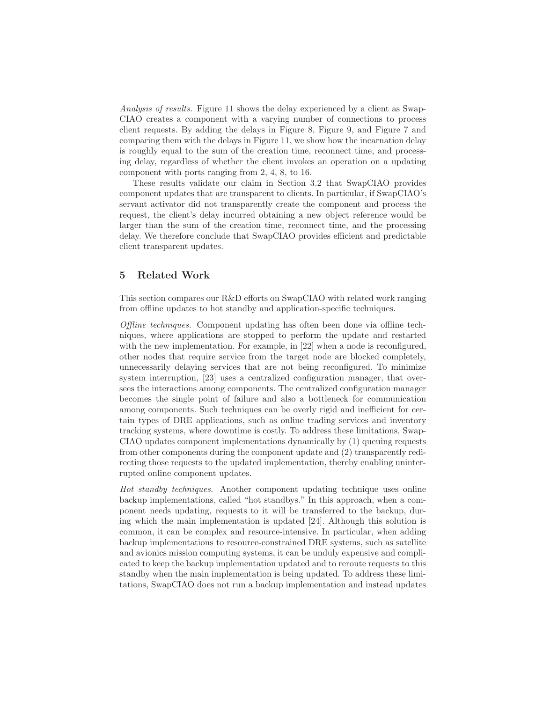Analysis of results. Figure 11 shows the delay experienced by a client as Swap-CIAO creates a component with a varying number of connections to process client requests. By adding the delays in Figure 8, Figure 9, and Figure 7 and comparing them with the delays in Figure 11, we show how the incarnation delay is roughly equal to the sum of the creation time, reconnect time, and processing delay, regardless of whether the client invokes an operation on a updating component with ports ranging from 2, 4, 8, to 16.

These results validate our claim in Section 3.2 that SwapCIAO provides component updates that are transparent to clients. In particular, if SwapCIAO's servant activator did not transparently create the component and process the request, the client's delay incurred obtaining a new object reference would be larger than the sum of the creation time, reconnect time, and the processing delay. We therefore conclude that SwapCIAO provides efficient and predictable client transparent updates.

# 5 Related Work

This section compares our R&D efforts on SwapCIAO with related work ranging from offline updates to hot standby and application-specific techniques.

Offline techniques. Component updating has often been done via offline techniques, where applications are stopped to perform the update and restarted with the new implementation. For example, in [22] when a node is reconfigured, other nodes that require service from the target node are blocked completely, unnecessarily delaying services that are not being reconfigured. To minimize system interruption, [23] uses a centralized configuration manager, that oversees the interactions among components. The centralized configuration manager becomes the single point of failure and also a bottleneck for communication among components. Such techniques can be overly rigid and inefficient for certain types of DRE applications, such as online trading services and inventory tracking systems, where downtime is costly. To address these limitations, Swap-CIAO updates component implementations dynamically by (1) queuing requests from other components during the component update and (2) transparently redirecting those requests to the updated implementation, thereby enabling uninterrupted online component updates.

Hot standby techniques. Another component updating technique uses online backup implementations, called "hot standbys." In this approach, when a component needs updating, requests to it will be transferred to the backup, during which the main implementation is updated [24]. Although this solution is common, it can be complex and resource-intensive. In particular, when adding backup implementations to resource-constrained DRE systems, such as satellite and avionics mission computing systems, it can be unduly expensive and complicated to keep the backup implementation updated and to reroute requests to this standby when the main implementation is being updated. To address these limitations, SwapCIAO does not run a backup implementation and instead updates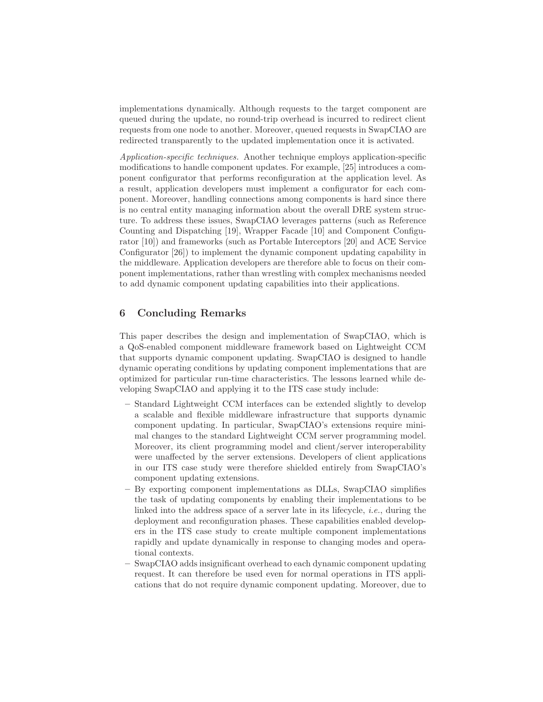implementations dynamically. Although requests to the target component are queued during the update, no round-trip overhead is incurred to redirect client requests from one node to another. Moreover, queued requests in SwapCIAO are redirected transparently to the updated implementation once it is activated.

Application-specific techniques. Another technique employs application-specific modifications to handle component updates. For example, [25] introduces a component configurator that performs reconfiguration at the application level. As a result, application developers must implement a configurator for each component. Moreover, handling connections among components is hard since there is no central entity managing information about the overall DRE system structure. To address these issues, SwapCIAO leverages patterns (such as Reference Counting and Dispatching [19], Wrapper Facade [10] and Component Configurator [10]) and frameworks (such as Portable Interceptors [20] and ACE Service Configurator [26]) to implement the dynamic component updating capability in the middleware. Application developers are therefore able to focus on their component implementations, rather than wrestling with complex mechanisms needed to add dynamic component updating capabilities into their applications.

# 6 Concluding Remarks

This paper describes the design and implementation of SwapCIAO, which is a QoS-enabled component middleware framework based on Lightweight CCM that supports dynamic component updating. SwapCIAO is designed to handle dynamic operating conditions by updating component implementations that are optimized for particular run-time characteristics. The lessons learned while developing SwapCIAO and applying it to the ITS case study include:

- Standard Lightweight CCM interfaces can be extended slightly to develop a scalable and flexible middleware infrastructure that supports dynamic component updating. In particular, SwapCIAO's extensions require minimal changes to the standard Lightweight CCM server programming model. Moreover, its client programming model and client/server interoperability were unaffected by the server extensions. Developers of client applications in our ITS case study were therefore shielded entirely from SwapCIAO's component updating extensions.
- By exporting component implementations as DLLs, SwapCIAO simplifies the task of updating components by enabling their implementations to be linked into the address space of a server late in its lifecycle, i.e., during the deployment and reconfiguration phases. These capabilities enabled developers in the ITS case study to create multiple component implementations rapidly and update dynamically in response to changing modes and operational contexts.
- SwapCIAO adds insignificant overhead to each dynamic component updating request. It can therefore be used even for normal operations in ITS applications that do not require dynamic component updating. Moreover, due to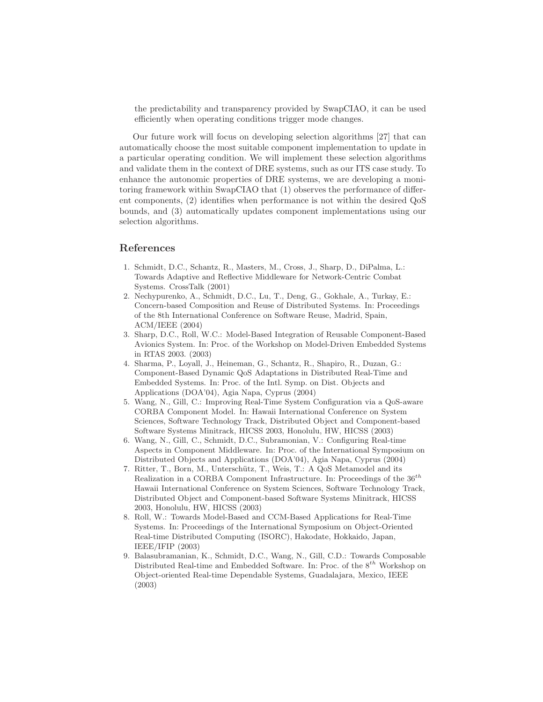the predictability and transparency provided by SwapCIAO, it can be used efficiently when operating conditions trigger mode changes.

Our future work will focus on developing selection algorithms [27] that can automatically choose the most suitable component implementation to update in a particular operating condition. We will implement these selection algorithms and validate them in the context of DRE systems, such as our ITS case study. To enhance the autonomic properties of DRE systems, we are developing a monitoring framework within SwapCIAO that (1) observes the performance of different components, (2) identifies when performance is not within the desired QoS bounds, and (3) automatically updates component implementations using our selection algorithms.

# References

- 1. Schmidt, D.C., Schantz, R., Masters, M., Cross, J., Sharp, D., DiPalma, L.: Towards Adaptive and Reflective Middleware for Network-Centric Combat Systems. CrossTalk (2001)
- 2. Nechypurenko, A., Schmidt, D.C., Lu, T., Deng, G., Gokhale, A., Turkay, E.: Concern-based Composition and Reuse of Distributed Systems. In: Proceedings of the 8th International Conference on Software Reuse, Madrid, Spain, ACM/IEEE (2004)
- 3. Sharp, D.C., Roll, W.C.: Model-Based Integration of Reusable Component-Based Avionics System. In: Proc. of the Workshop on Model-Driven Embedded Systems in RTAS 2003. (2003)
- 4. Sharma, P., Loyall, J., Heineman, G., Schantz, R., Shapiro, R., Duzan, G.: Component-Based Dynamic QoS Adaptations in Distributed Real-Time and Embedded Systems. In: Proc. of the Intl. Symp. on Dist. Objects and Applications (DOA'04), Agia Napa, Cyprus (2004)
- 5. Wang, N., Gill, C.: Improving Real-Time System Configuration via a QoS-aware CORBA Component Model. In: Hawaii International Conference on System Sciences, Software Technology Track, Distributed Object and Component-based Software Systems Minitrack, HICSS 2003, Honolulu, HW, HICSS (2003)
- 6. Wang, N., Gill, C., Schmidt, D.C., Subramonian, V.: Configuring Real-time Aspects in Component Middleware. In: Proc. of the International Symposium on Distributed Objects and Applications (DOA'04), Agia Napa, Cyprus (2004)
- 7. Ritter, T., Born, M., Unterschütz, T., Weis, T.: A QoS Metamodel and its Realization in a CORBA Component Infrastructure. In: Proceedings of the  $36^{th}$ Hawaii International Conference on System Sciences, Software Technology Track, Distributed Object and Component-based Software Systems Minitrack, HICSS 2003, Honolulu, HW, HICSS (2003)
- 8. Roll, W.: Towards Model-Based and CCM-Based Applications for Real-Time Systems. In: Proceedings of the International Symposium on Object-Oriented Real-time Distributed Computing (ISORC), Hakodate, Hokkaido, Japan, IEEE/IFIP (2003)
- 9. Balasubramanian, K., Schmidt, D.C., Wang, N., Gill, C.D.: Towards Composable Distributed Real-time and Embedded Software. In: Proc. of the  $8^{th}$  Workshop on Object-oriented Real-time Dependable Systems, Guadalajara, Mexico, IEEE (2003)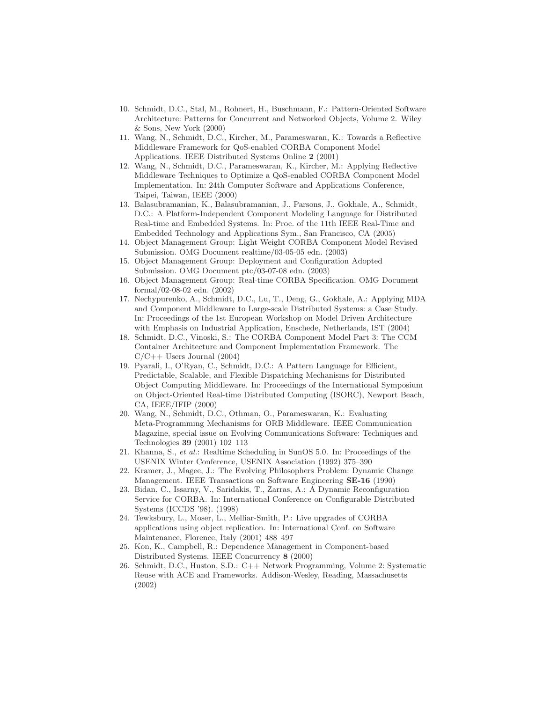- 10. Schmidt, D.C., Stal, M., Rohnert, H., Buschmann, F.: Pattern-Oriented Software Architecture: Patterns for Concurrent and Networked Objects, Volume 2. Wiley & Sons, New York (2000)
- 11. Wang, N., Schmidt, D.C., Kircher, M., Parameswaran, K.: Towards a Reflective Middleware Framework for QoS-enabled CORBA Component Model Applications. IEEE Distributed Systems Online 2 (2001)
- 12. Wang, N., Schmidt, D.C., Parameswaran, K., Kircher, M.: Applying Reflective Middleware Techniques to Optimize a QoS-enabled CORBA Component Model Implementation. In: 24th Computer Software and Applications Conference, Taipei, Taiwan, IEEE (2000)
- 13. Balasubramanian, K., Balasubramanian, J., Parsons, J., Gokhale, A., Schmidt, D.C.: A Platform-Independent Component Modeling Language for Distributed Real-time and Embedded Systems. In: Proc. of the 11th IEEE Real-Time and Embedded Technology and Applications Sym., San Francisco, CA (2005)
- 14. Object Management Group: Light Weight CORBA Component Model Revised Submission. OMG Document realtime/03-05-05 edn. (2003)
- 15. Object Management Group: Deployment and Configuration Adopted Submission. OMG Document ptc/03-07-08 edn. (2003)
- 16. Object Management Group: Real-time CORBA Specification. OMG Document formal/02-08-02 edn. (2002)
- 17. Nechypurenko, A., Schmidt, D.C., Lu, T., Deng, G., Gokhale, A.: Applying MDA and Component Middleware to Large-scale Distributed Systems: a Case Study. In: Proceedings of the 1st European Workshop on Model Driven Architecture with Emphasis on Industrial Application, Enschede, Netherlands, IST (2004)
- 18. Schmidt, D.C., Vinoski, S.: The CORBA Component Model Part 3: The CCM Container Architecture and Component Implementation Framework. The  $C/C++$  Users Journal (2004)
- 19. Pyarali, I., O'Ryan, C., Schmidt, D.C.: A Pattern Language for Efficient, Predictable, Scalable, and Flexible Dispatching Mechanisms for Distributed Object Computing Middleware. In: Proceedings of the International Symposium on Object-Oriented Real-time Distributed Computing (ISORC), Newport Beach, CA, IEEE/IFIP (2000)
- 20. Wang, N., Schmidt, D.C., Othman, O., Parameswaran, K.: Evaluating Meta-Programming Mechanisms for ORB Middleware. IEEE Communication Magazine, special issue on Evolving Communications Software: Techniques and Technologies 39 (2001) 102–113
- 21. Khanna, S., et al.: Realtime Scheduling in SunOS 5.0. In: Proceedings of the USENIX Winter Conference, USENIX Association (1992) 375–390
- 22. Kramer, J., Magee, J.: The Evolving Philosophers Problem: Dynamic Change Management. IEEE Transactions on Software Engineering SE-16 (1990)
- 23. Bidan, C., Issarny, V., Saridakis, T., Zarras, A.: A Dynamic Reconfiguration Service for CORBA. In: International Conference on Configurable Distributed Systems (ICCDS '98). (1998)
- 24. Tewksbury, L., Moser, L., Melliar-Smith, P.: Live upgrades of CORBA applications using object replication. In: International Conf. on Software Maintenance, Florence, Italy (2001) 488–497
- 25. Kon, K., Campbell, R.: Dependence Management in Component-based Distributed Systems. IEEE Concurrency 8 (2000)
- 26. Schmidt, D.C., Huston, S.D.: C++ Network Programming, Volume 2: Systematic Reuse with ACE and Frameworks. Addison-Wesley, Reading, Massachusetts (2002)